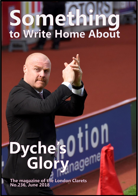## Something<br>to write Home About

## Dycheis011

The magazine of the London Clarets<br>No.236, June 2018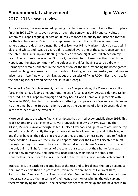## **A monumental achievement Igor Wowk** 2017 -2018 season review

As we all know, the season ended up being the club's most successful since the sixth place finish in 1973-1974, and, even better, through the somewhat quirky and convoluted system of Europa League qualification, Burnley managed to qualify for European football for the first time since 1966. Just to emphasise the point, that's fifty years ago: two generations, pre-decimal coinage, Harold Wilson was Prime Minister, television was still in black and white, and I was 12 years old. I attended every one of those European games in the Inter Cities Fairs Cup and fleeting memories of those nights are still etched on my brain. The first tentative win over Stuttgart, the slaughter of Lausanne, the triumph over Napoli, and the disappointment of the defeat vs. Frankfurt having secured a draw in Germany to remain unbeaten in the competition. At the time, attending the home games meant catching two buses back from Burnley to Haslingden via Rawtenstall, so that was an adventure in itself, now I am thinking about the logistics of flying 7,000 miles to Almaty for the opening leg, or attending the final in Baku, Georgia.

To underline Sean's achievement, back in those European days, the Clarets were still a force in the land, a fading one, but nonetheless a force. Blacklaw, Angus, Elder and Miller featured in that European campaign and they had all won Championship medals with Burnley in 1960, plus Harris had made a smattering of appearances. We were not to know it at the time, but the European elimination was the beginning of a long 20 years' decline in the fortunes of our beloved club.

More pertinently, the whole financial landscape has shifted exponentially since 1966. This year's Champions, Manchester City, were languishing in Division Two awaiting the Allison/Mercer revival, although United, Chelsea Liverpool and Spurs were around the top end of the table. Currently the top six have a stranglehold on the top end of the league, and if they have all their ducks in a row then they are more or less guaranteed to finish in those positions. However, there are still opportunities for the likes of Leicester to burst through if enough of those clubs are in sufficient disarray. Arsenal's away form provided the only chink of light for the rest of the teams this season, but their home form was second only to Man City, and Burnley's inconsistency maintained the status quo. Nonetheless, for our team to finish the best of the rest was a monumental achievement.

Interestingly, the battle to become best of the rest and to break into the top six seems to claim more victims than the process to stay in the top six. At clubs like West Ham, Southampton, Swansea, Stoke, Everton and West Bromwich – where they have had some moderate success either in terms of their league position or winning the odd cup and thereby qualifying for Europe – the expectations seem to crank up and the next step is to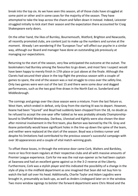break into the top six. As we have seen this season, all of those clubs have struggled at some point or other and in some cases for the majority of the season. They have attempted to take the leap across the chasm and fallen down it instead. Indeed, Leicester struggled initially to kick start their season and the expectation there accounted for Craig Shakespeare early doors.

On the other hand, the likes of Burnley, Bournemouth, Watford, Brighton and Newcastle, all recently promoted clubs, are content just to make up the numbers and survive at the moment. Already I am wondering if the 'European Tour' will affect our psyche in a similar way, although our Board and manager have done an outstanding job previously at managing our expectations.

Returning to the start of the season, very few anticipated the outcome at the outset. The bookmakers had Burnley among the favourites to go down, and most fans I suspect would have been happy to merely finish in 17th place or just above at the finale. Although the Clarets had secured their place in the top flight the previous season with a couple of games to spare, the end of the season was a real struggle to cross over the safety line. Only two games were won out of the last 15 and there were some dour and dogged performances, such as the two goal-free draws in the North East vs. Sunderland and Middlesbrough.

The comings and goings over the close season were a mixture. From the last fixture vs. West Ham, which ended in defeat, only Gray from the starting XI was to depart. However, Keane had been "injured" and Boyd had suddenly been chopped from the 18, no doubt as he refused to accept the one-year offer tabled as he was probably already Championshipbound to Sheffield Wednesday. Darikwa, Ulvestad and Kightly were also shown the door after minimal involvement in the first team, plus Barton was banned by the FA. Gray and Keane potentially would leave significant holes in the line-up down the spine of the team, and neither were replaced at the start of the season. Boyd was a tireless runner and despite his limitations had contributed to the previous season's successful campaign with over 30 appearances and a couple of vital match-winning goals.

To offset these losses, in through the entrance door came Cork, Walters and Bardsley, more or less first-team regulars at their respective clubs and all with massive amounts of Premier League experience. Cork for me was the real eye-opener as he had been captain at Swansea and had an excellent game against us in the 3-2 reverse at the Liberty. Furthermore, Cork was a stylish player and this indicated the possibility of a change in the style of play in the midfield department as one imagined that Sean did not buy him to watch the ball sail over his head. Additionally, Charlie Taylor and Adam Legzdins were brought in, presumably as back-ups, as well as Anders Lindegaard later on in the window. Two more window signings to bolster the forward department were Chris Wood and the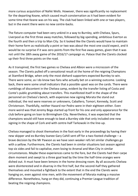more curious acquisition of Nahki Wells. However, there was significantly no replacement for the departing Keane, which caused much consternation as it had been evident for some time that Keane was on his way. The club had been linked with one or two players, but in the event there were no new centre-backs.

The fixture computer had been very unkind in a way to Burnley, with Chelsea, Spurs, Liverpool as the first three away matches, followed by big-spending, ambitious Everton as the fourth and then a trip to Man City. So it looked like the Clarets would have to maintain their home form as realistically a point or two was about the most one could expect, and it would be no surprise if it was zero points from the first five away games, given that it was not until the 18th away game of the 2016/17 campaign vs. Palace that the Clarets clocked up their first three points on the road.

As it transpired, the first two games vs Chelsea and Albion were a microcosm of the season. The Clarets pulled off a sensational result at the home of the reigning Champions at Stamford Bridge, when only the most diehard supporters expected Burnley to win. There were some, as I do know two fans who actually bet on a winning outcome. Looking back, there were some small indicators that a possible upset was on the cards. There were rumblings of discontent in the Chelsea camp, evident by the transfer listing of Costa and Conte's public grumbling about transfers. This manifested itself in the shape of the personnel on Chelsea's bench, with expensive new signing Morata the stand out individual, the rest were reserves or unknowns, Caballero, Tomori, Kennedy, Scott and Christenson. Thankfully, neither Hazard nor Pedro were in their eighteen either. Even more weird was that Jeremy Boga started up front for his one and only appearance for the club before going on loan to Birmingham City. Nevertheless, it was expected that the champions would still have enough to beat a Burnley side that only included one new signing in the shape of Cork and with centre-half Tarkowski in the line-up.

Chelsea managed to shoot themselves in the foot early in the proceedings by having their new skipper and ex-Burnley loanee Gary Cahill sent off for a two-footed challenge – a brave decision by the Mr Pawson as we have seen weaker refs let similar challenges go with a yellow. Furthermore, the Clarets had been in similar situations last season against top six sides and fail to capitalise, even losing to Arsenal and Man City in similar circumstances. Maybe these experiences came to the fore, but the Clarets had their carpe diem moment and swept to a three goal lead by the time the half-time oranges were dished out. It must have been lemons in the home dressing room. By all accounts Chelsea were disinterested and in disarray in the first half, but the second-half they gathered themselves and mounted a fightback to the extent that in the end the Clarets were hanging on, even against nine men, with the movement of Morata making a massive difference. Nonetheless, hang on they did, continuing a Premier League tradition of beating the reigning champions.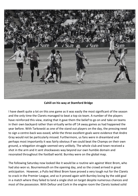

**Cahill on his way at Stamford Bridge**

I have dwelt quite a lot on this one game as it was easily the most significant of the season and the only time the Clarets managed to beat a top six team. A number of the players have reinforced this view, stating that it gave them the belief to go on and take on teams in their own backyard rather than virtually write off 14 away games as had happened the year before. With Tarkowski as one of the stand out players on the day, the pressing need to sign a centre-back was eased, while the three excellent goals were evidence that Andre Gray would not be particularly missed. Furthermore, us fans were in dreamland and perhaps most importantly it was fairly obvious if we could beat the Champs on their own ground, a relegation struggle seemed very unlikely. The whole club and town received a shot in the arm and it sent shockwaves way beyond our own humble domain and resonated throughout the football world. Burnley were on the global map.

The following Saturday now looked like it would be a routine win against West Brom, who had also won vs. Bournemouth on the opening day, and so the crowd arrived in great anticipation. However, a Pulis-led West Brom have proved a very tough nut for the Clarets to crack in the Premier League, and so it proved again with Burnley losing by the odd goal in a match where they failed to land a single shot on target despite numerous chances and most of the possession. With Defour and Cork in the engine room the Clarets looked solid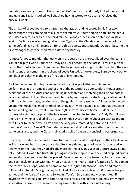but laborious going forward. The wide men Guðmundsson and Brady looked ineffectual, and up front Big Sam looked well-shackled having scored twice against Chelsea the previous week.

The arrival of Wood looked to sharpen up the attack, and he scored in his first two appearances after coming on as a sub: at Wembley vs. Spurs and on his full home debut vs. Palace where, as early as the third minute, Wood cashed in on a defensive mistake against De Boor's winless and goalless side. Typically, the Clarets spent the rest of the game defending it and hanging on for the three points. Subsequently, De Boor became the first manager to get the chop after a defeat by Burnley.

I almost forgot to mention that early on in the season the Clarets glided over the banana skin of a trip to Ewood Park, with Brady and Cork becoming the latest Clarets to put the ball in the "Bastards' net". Thus we had the beginnings of a cup run which pitched the club against another nemesis in the shape of Leeds United. Unfortunately, Burnley went out on penalties and that was the end of that bit of excitement.

Back in the league, Burnley picked up a point at Liverpool after an outstanding performance at the home ground of one of the potential title contenders, thus scoring in every one of those fixtures and remaining undefeated and matching their opponents in every department. Then they went one better by snuffing out a stuttering Everton unable to find a cohesive shape, scoring one of the goals of the season with 23 passes in the buildup and the much-maligned Hendrick finishing it off with a neat execution that dissected Keane and England's current number one (!) Pickford. Back at home, Huddersfield successfully shut up shop, and the lads were somewhat fortunate that Andy Carroll saw the red mist when it looked like an attack-minded West Ham might score with abandon, with Chicarito, Arnautovic, Carroll and the very pacy, marauding Antonio all in the Hammers' line-up. A neat Guðmundsson cross found Wood late on after the former had come on as a sub, and the Clarets salvaged a point from an unconvincing performance.

However, despite the mediocre home form and results, after eight games the Clarets were in 7th place and had lost only once despite a very daunting set of away fixtures, and with two wins on the road they had already matched the previous season's entire away points tally. Indeed, it was a tad frustrating as against 'lesser' opposition they had dropped points and might have been even better placed. Away from home the team had looked confident and seemingly on a par with many top six sides. The most amazing feature so far had to be the form of Nick Pope, who had come on for the injured Heaton vs. Palace and made his full debut at Anfield. Straight away he looked like he already played 200 Premier League games and the fears of a collapse following Tom's injury completely evaporated. If anything, with Pope's ability to come and take crosses, the defence looked slightly more solid. Also, Tarkowski was now attracting rave notices with some outstanding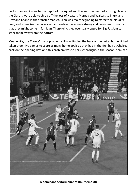performances. So due to the depth of the squad and the improvement of existing players, the Clarets were able to shrug off the loss of Heaton, Marney and Walters to injury and Gray and Keane in the transfer market. Sean was really beginning to attract the plaudits now, and when Koeman was axed at Everton there were strong and persistent rumours that they might come in for Sean. Thankfully, they eventually opted for Big Fat Sam to steer them away from the bottom.

Meanwhile, the Clarets' major problem still was finding the back of the net at home. It had taken them five games to score as many home goals as they had in the first half at Chelsea back on the opening day, and this problem was to persist throughout the season. Sam had



**A dominant performance at Bournemouth**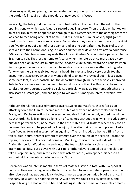fallen away a bit, and playing the new system of only one up front even at home meant the burden fell heavily on the shoulders of new boy Chris Wood.

Inevitably, the lads got done over at the Etihad with a bit of help from the ref for the opening penalty, which was Aguero's record-equalling score. Then the club embarked on an easier run in terms of opposition through to mid-December, with the only big team the lads had to face being Arsenal at home. That resulted in a number of very tight games most of which could have gone any way. Fortunately, they came out narrowly on the right side five times out of eight of those games, and at one point after they beat Stoke, they sneaked into the Champions League places and then back down to fifth after a dour tense 0-0 draw at Brighton where they rode their luck a bit when Murray skied a penalty into the Brighton sea air. They lost at home to Arsenal when the referee once more gave a very dubious decision in the last minute in the London's club favour, awarding a penalty when Ramsey gave the impression of a man being shot by a circus cannon after backing into Tarky when the ball was six feet over his head. Burnley also lost a very closely fought encounter at Leicester, when they went behind to an early Gray goal but in fact played some excellent, fluent football until the departure through injury of the vastly-improved Robbie Brady after a reckless lunge to try and dispossess Maguire. Brady had been the catalyst for some strong attacking displays, particularly away at Bournemouth where he also scored a smart goal, and had begun to win over his many doubters, of which I was one.

Although the Clarets secured victories against Stoke and Watford, thereafter as an attacking force the Clarets became more muted as they had no direct replacement for Brady, with Dyche reverting to the ever-dependable Arfield, who duly scored the winner vs. Watford. The lads endured a long run of 11 games without a win, which included some excellent performances, none more so than the match at Old Trafford where they took a two-goal lead only to be pegged back in injury time after being unable to prevent United from flooding forward in search of an equaliser. The run included a home biffing from a top six club, Spurs, another pattern to emerge over the course of the season – from the top six, they only took a point at home off Man City, ironically the best side of the lot. During this period Wood was in and out of the team with an injury picked up on international duty, but as ever with our club, another player stepped up to the plate to take his opportunity, and in this case it was Ashley Barnes, who opened his season's account with a finely-taken winner against Stoke.

December was an intense month in terms of matches, seven in total with Liverpool at home on New Year's Day, where the lads succumbed to another late, top-six sucker punch after Liverpool had put out a fairly depleted line-up to give our lads a bit of a chance. In the early New Year, we had the worst FA Cup draw we could possibly have had, and despite taking the lead at the Etihad and holding it until half-time, our Wembley dreams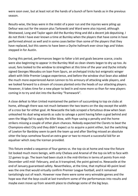were soon over, but at least not at the hands of a bunch of farm hands as in the previous season.

Results-wise, the boys were in the midst of a poor run and the injuries were piling up: Defour was out for the season plus Tarkowski and Ward were also injured, although Westwood, Long and Taylor again did the Burnley thing and did a decent job deputising. I do not think I have ever known a time at Burnley when the players that have come in have performed almost as well and in some cases better than some of the players that they have replaced, but this seems to have been a Dyche hallmark ever since Ings and Vokes stepped in for Austin.

During this period, performances began to falter a bit and goals became scarce, cracks were also beginning to appear in the Burnley Wall as clean sheets began to dry up too. As usual, fans looked to the window to strengthen at this time of the year and Dyche initially signed Georges Nkoudou on loan from Spurs, an archetypal tricky but enigmatic winger albeit with little Premier League experience, and before the window shut Sean also added the much more experienced Aaron Lennon to his armoury of attacking wide players, and we looked forward to a stream of crosses planted onto the heads of our attacking players. However, it takes time for a new player to bed in and none more so than for new players coming in to try and slot into the Burnley "framework".

A close defeat to Man United maintained the pattern of succumbing to top six clubs at home, although there was not much between the two teams on the day except the width of a cross bar for either goal. At Newcastle the lads scraped a fortuitous draw when Sean unleashed his dual wing wizards as subs to salvage a point having fallen a goal behind and seen the Mags fail to apply the killer blow, with Pope saving a penalty and the home strikers missing a couple of other plum chances. Nobody expected the Clarets to beat the Champions-elect City and they didn't expect us to acquire a point either, but the switching of Lowton for Bardsley seem to perk the team up and after Sterling missed an absolute sitter the boys somehow found an extra gear or two to mount a successful bid for an equaliser which Joey the Iceman provided.

This fixture ended a sequence of four games vs. the top six at home and now the fixture list looked much more benign, with only Chelsea and Arsenal of the top six left to face with 12 games to go. The team had been stuck in the mid-thirties in terms of points from mid-December until mid- February, and as it transpired, the point gained vs. Newcastle at the end of January guaranteed safety. Nevertheless, at the time, that mythical 40-point level was the one that would virtually confirm Premier League football, and it remained tantalisingly out of reach. However now there were some very winnable games and the hope was that the boys could at last transform some of the performances into results and maybe even move up from seventh place to challenge some of the big boys.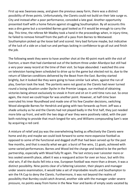First up was Swansea away, and given the previous away form, there was a distinct possibility of three points. Unfortunately, the Clarets could not build on their late surge vs. City and instead after a poor performance, conceded a late goal. Another opportunity presented itself with a home fixture against struggling Southampton. By all accounts this was a dire game but a scrambled Barnes goal looked as if it would be enough to carry the day. This time, the referee Mr Madley took a hand in the proceedings when, in injury-time, he failed to remove himself from the path of a pass from Barnes to Westwood. Southampton picked up the loose ball and scored. Very bad fortune maybe, but indicative of the luck of a side on a bad run and perhaps lacking in confidence to go all out and finish the job.

The following week they were to have another shot at the 40-point mark with the visit of Everton, a team that had clambered out of the bottom three under Allardyce but still had a very poor away record at the time of their visit. So hope abounded. I watched this one on television having been scheduled to drive up to the game but elected not to, due to the return of Siberian conditions delivered by the Beast from the East. Burnley started brightly, but it looked like they were going to have similar luck when, against the run of play, Everton took the lead. The portents were not good as the Clarets had never turned round a losing situation under Dyche in the Premier League, our method of obtaining victories being almost exclusively to sneak in front and sit on it until time runs out. So once again, the most we could hope for was another point. However, at half-time Sean overruled his inner Roundhead and made one of his few Cavalier decisions, switching Wood alongside Barnes for Hendrick and going with two forwards up front. Jeff was a shade unlucky as he and the Clarets had not played badly in the first half, they just needed more bite up front, and with the two dogs of war they were positively rabid, with the pair both notching to provide that much longed-for win, and Williams compounding Sam's woe by acquiring a red card.

A mixture of relief and joy was the overwhelming feeling as effectively the Clarets were home and dry and maybe we could look forward to some more expansive football as opposed to some of the functional and dogged stuff that had been served up for the past few months, and that is exactly what we got: a burst of five wins, 11 goals, achieved with some varied performances. Barnes and Wood led the charge and looked to be the perfect partnership, especially with Wood fully fit again. The last victory over Leicester more or less sealed seventh place, albeit it was a rearguard action for over an hour, but with this vital win, if all the ducks fell into a row, European football was more than a dream, it was a distinct possibility. Nine points clear of a faltering Leicester, their players and manager under severe examination, it would take a set of improbable results and Southampton to win the FA Cup to deny the Clarets. Furthermore, it was not beyond the realms of possibility that Burnley could catch Arsenal, another side with the manager under severe pressure, no points away from home in the New Year and banks of empty seats vacated by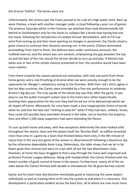the Arsenal 'faithful'. The knives were out.

Unfortunately, the victory over the Foxes proved to be a bit of a high water mark. Next up were Chelsea, a team with another manager under a cloud following a poor run of games. The previous Saturday whilst in the Fanzone, we watched them look disinterestedly fall behind to Southampton only for the Saints to collapse like a drunk man having had one too many, following the introduction of catalyst Giroud. Nonetheless, with an FA Cup semi-final coming up and their team sporting six changes in personnel, the Clarets stood a great chance to continue their fantastic winning run. In the event, Chelsea dominated proceedings from start to finish, the defence were under continuous pressure, the midfield overrun, and the attack was non-existent, emphasising the gap between the top six and the best of the rest should the former decide to turn up and play. If Morata had taken one or two of the simple chances presented to him, the scoreline would have been more realistic.

From there onwards the season petered out somewhat, with only one point from three home games and a real thrashing at Arsenal when we were unlucky enough to be the opponents for Wenger's valedictory outing at the Emirates. With their red t-shirts aglow in the hot May sunshine, the Clarets were shredded by a five-star performance to celebrate Arsene's big day out. The only upside of the whole day was that, after the game, it was easy to use the public transport system due to the home fans rather hypocritically lavishing their appreciation for the man they had forced out of his beloved job whilst we all sloped off home. Afterwards, for once Sean made a very inappropriate choice of words when he said that the lads had "nothing to play for" when if they had won, unlikely I know, they could still possibly have overtaken Arsenal in the table, not to mention the expense, time and effort 1,500 away supporters had spent attending the fixture.

To sum up both home and away, with few exceptions defensively the team looked solid throughout the season. Sean and the players built the 'Burnley Wall', an edifice breached more than once in a game by a team that finished below them only in the 4th minute of injury time in the very last game of the season vs. Bournemouth following a disastrous slip by the otherwise dependable Kevin Long. Defensively, the table shows that we let in far fewer goals than Arsenal and were on a par with all but the two Manchester clubs. However, at home the boys struggled to find a way through the many well-organised and proficient Premier League defences. Along with Huddersfield, the Clarets finished with the lowest number of goals scored at home in the season. Furthermore, nearly all of the six sides above the Clarets finished with double or thereabouts the 36 goals Burnley scored.

Dyche and his team have also become remarkably good at improving the same players individually as well as training them to fit into the system as and when it is necessary. This development is particularly evident across the back four, all of whom are now much more